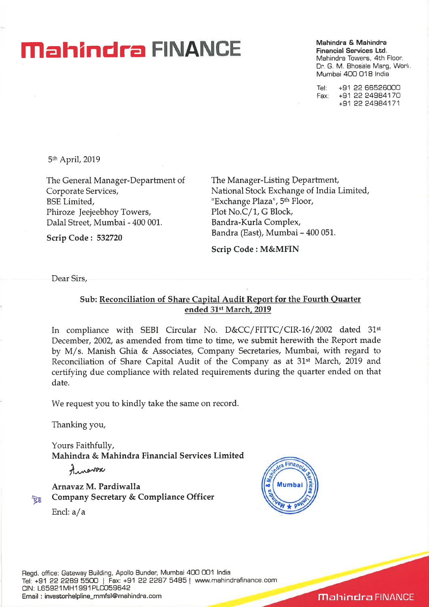## **Mahindra & Mahindra & Mahindra & Mahindra & Mahindra**

**Financial Services Ltd.**  Mahindra Towers, 4th Floor, Dr. G. M. Bhosale Marg, Worli Mumbai 400 018 India

Tel: +91 22 66526000 Fax: +91 22 24984170 +91 22 24984171

5th April, 2019

The General Manager-Department of Corporate Services, BSE Limited, Phiroze Jeejeebhoy Towers, Dalal Street, Mumbai - 400 001.

**Scrip Code : 532720** 

The Manager-Listing Department, National Stock Exchange of India Limited, "Exchange Plaza", 5th Floor, Plot No.C/1, G Block, Bandra-Kurla Complex, Bandra (East), Mumbai - 400 051.

**Scrip Code : M&MFIN** 

Dear Sirs,

#### **Sub: Reconciliation of Share Capital Audit Report for the Fourth Quarter ended** 31st **March, 2019**

In compliance with SEBI Circular No. D&CC/FITTC/CIR-16/2002 dated 31<sup>st</sup> December, 2002, as amended from time to time, we submit herewith the Report made by M/s. Manish Ghia & Associates, Company Secretaries, Mumbai, with regard to Reconciliation of Share Capital Audit of the Company as at 31st March, 2019 and certifying due compliance with related requirements during the quarter ended on that date.

We request you to kindly take the same on record.

Thanking you,

Yours Faithfully, **Mahindra & Mahindra Financial Services Limited** 

America

**Arnavaz M. Pardiwalla Company Secretary & Compliance Officer** 



Encl: a/a



**Mahindra FINANCE**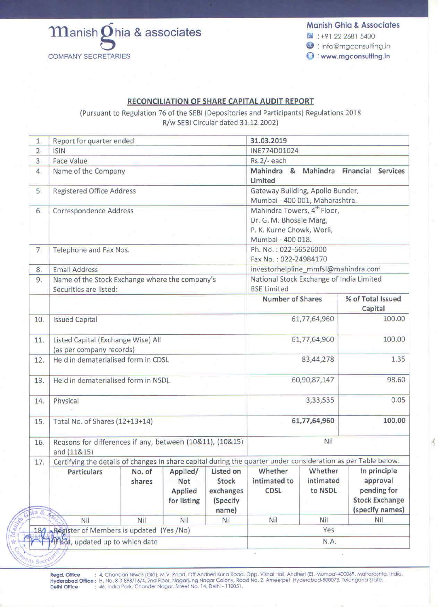

#### **Manish Ghia & Associates**

 $4 + 91 22 2681 5400$ 

**@** : info@mgconsulting.in

**O** : www.mgconsulting.in

### <u>RECONCILIATION OF SHARE CAPITAL AUDIT REPORT</u>

(Pursuant to Regulation 76 of the SEBI (Depositories and Participants) Regulations 2018 R/w SEBI Circular dated 31.12.2002)

| 1.   | Report for quarter ended                                                                                      |                                                                 |                                           |                                             | 31.03.2019                                                                                                           |                                 |                                                                  |  |
|------|---------------------------------------------------------------------------------------------------------------|-----------------------------------------------------------------|-------------------------------------------|---------------------------------------------|----------------------------------------------------------------------------------------------------------------------|---------------------------------|------------------------------------------------------------------|--|
| 2.   | <b>ISIN</b>                                                                                                   |                                                                 |                                           | INE774D01024                                |                                                                                                                      |                                 |                                                                  |  |
| 3.   | Face Value                                                                                                    |                                                                 |                                           | $Rs.2/- each$                               |                                                                                                                      |                                 |                                                                  |  |
| 4.   | Name of the Company                                                                                           |                                                                 |                                           | Mahindra & Mahindra<br>Limited              |                                                                                                                      | Financial<br>Services           |                                                                  |  |
| 5.   | <b>Registered Office Address</b>                                                                              |                                                                 |                                           |                                             | Gateway Building, Apollo Bunder,<br>Mumbai - 400 001, Maharashtra.                                                   |                                 |                                                                  |  |
| 6.   | Correspondence Address                                                                                        |                                                                 |                                           |                                             | Mahindra Towers, 4 <sup>th</sup> Floor,<br>Dr. G. M. Bhosale Marg,<br>P. K. Kurne Chowk, Worli,<br>Mumbai - 400 018. |                                 |                                                                  |  |
| 7.   | Telephone and Fax Nos.                                                                                        |                                                                 |                                           |                                             | Ph. No.: 022-66526000<br>Fax No.: 022-24984170                                                                       |                                 |                                                                  |  |
| 8.   | investorhelpline_mmfsl@mahindra.com<br><b>Email Address</b>                                                   |                                                                 |                                           |                                             |                                                                                                                      |                                 |                                                                  |  |
| 9.   | Name of the Stock Exchange where the company's<br>Securities are listed:                                      |                                                                 |                                           |                                             | National Stock Exchange of India Limited<br><b>BSE Limited</b>                                                       |                                 |                                                                  |  |
|      |                                                                                                               |                                                                 | <b>Number of Shares</b>                   |                                             | % of Total Issued<br>Capital                                                                                         |                                 |                                                                  |  |
| 10.  | <b>Issued Capital</b>                                                                                         |                                                                 |                                           |                                             | 61,77,64,960                                                                                                         |                                 | 100.00                                                           |  |
| 11.  | Listed Capital (Exchange Wise) All<br>(as per company records)                                                |                                                                 |                                           |                                             | 61,77,64,960                                                                                                         |                                 | 100.00                                                           |  |
| 12.  | Held in dematerialised form in CDSL                                                                           |                                                                 |                                           |                                             | 83,44,278                                                                                                            |                                 | 1.35                                                             |  |
| 13.  | Held in dematerialised form in NSDL                                                                           |                                                                 |                                           | 60,90,87,147                                |                                                                                                                      | 98.60                           |                                                                  |  |
| 14.  | Physical                                                                                                      |                                                                 |                                           |                                             | 0.05<br>3,33,535                                                                                                     |                                 |                                                                  |  |
| 15.  | Total No. of Shares (12+13+14)                                                                                |                                                                 |                                           |                                             | 100.00<br>61,77,64,960                                                                                               |                                 |                                                                  |  |
| 16.  | and (11&15)                                                                                                   | Nil<br>Reasons for differences if any, between (10&11), (10&15) |                                           |                                             |                                                                                                                      |                                 |                                                                  |  |
| 17.  | Certifying the details of changes in share capital during the quarter under consideration as per Table below: |                                                                 |                                           |                                             |                                                                                                                      |                                 |                                                                  |  |
|      | <b>Particulars</b>                                                                                            | No. of<br>shares                                                | Applied/<br>Not<br>Applied<br>for listing | Listed on<br>Stock<br>exchanges<br>(Specify | Whether<br>intimated to<br><b>CDSL</b>                                                                               | Whether<br>intimated<br>to NSDL | In principle<br>approval<br>pending for<br><b>Stock Exchange</b> |  |
| 12 & |                                                                                                               |                                                                 |                                           | name)                                       |                                                                                                                      |                                 | (specify names)                                                  |  |
|      | Nil                                                                                                           | <b>Nil</b>                                                      | Nil                                       | Nil                                         | Nil                                                                                                                  | Nil                             | Nil                                                              |  |
|      | 184 Register of Members is updated (Yes /No)                                                                  |                                                                 | Yes                                       |                                             |                                                                                                                      |                                 |                                                                  |  |
|      | thot, updated up to which date                                                                                |                                                                 | N.A.                                      |                                             |                                                                                                                      |                                 |                                                                  |  |

Regd. Office Delhi Office : 46, Indra Park, Chander Nagar, Street No. 14, Delhi - 110051. : 4, Chandan Niwas (Old), M.V. Road, Off Andheri Kurla Road, Opp. Vishal Hall, Andheri (E), Mumbai-400069, Maharashta, India. Hyderabad Office: H. No. 8-3-898/16/4, 2nd Floor, Nagarjung Nagar Colony, Road No. 2, Ameerpet, Hyderabad-500073, Telangana State.